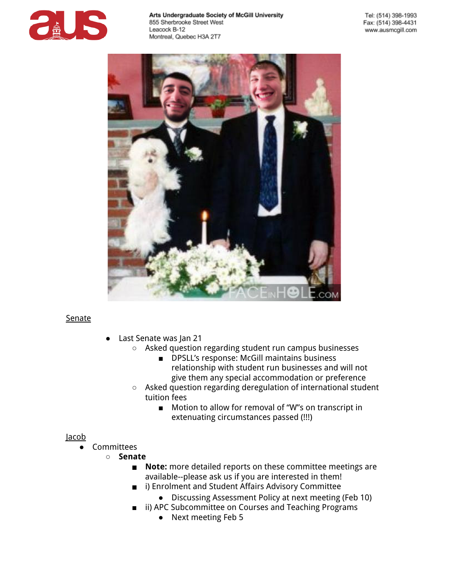



## Senate

- Last Senate was Jan 21
	- Asked question regarding student run campus businesses
		- DPSLL's response: McGill maintains business relationship with student run businesses and will not give them any special accommodation or preference
	- Asked question regarding deregulation of international student tuition fees
		- Motion to allow for removal of "W"s on transcript in extenuating circumstances passed (!!!)

## Jacob

- **Committees** 
	- **Senate**
		- **Note:** more detailed reports on these committee meetings are available--please ask us if you are interested in them!
		- i) Enrolment and Student Affairs Advisory Committee
			- Discussing Assessment Policy at next meeting (Feb 10)
		- ii) APC Subcommittee on Courses and Teaching Programs
			- Next meeting Feb 5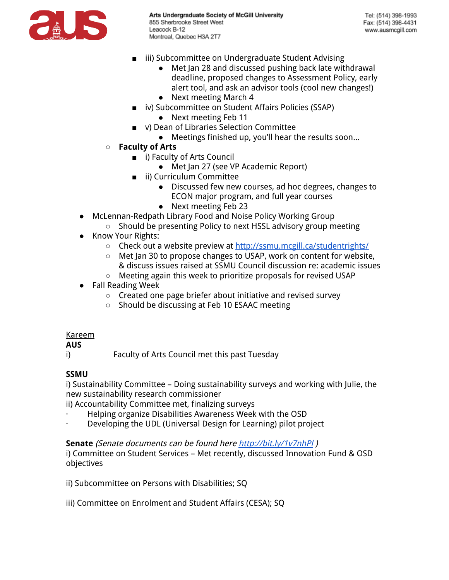

- iii) Subcommittee on Undergraduate Student Advising
	- Met Jan 28 and discussed pushing back late withdrawal deadline, proposed changes to Assessment Policy, early alert tool, and ask an advisor tools (cool new changes!) ● Next meeting March 4
- iv) Subcommittee on Student Affairs Policies (SSAP)
	- Next meeting Feb 11
- v) Dean of Libraries Selection Committee
	- Meetings finished up, you'll hear the results soon...
- **Faculty of Arts**
	- i) Faculty of Arts Council
		- Met Jan 27 (see VP Academic Report)
	- ii) Curriculum Committee
		- Discussed few new courses, ad hoc degrees, changes to ECON major program, and full year courses
		- Next meeting Feb 23
- McLennan-Redpath Library Food and Noise Policy Working Group
	- Should be presenting Policy to next HSSL advisory group meeting
- Know Your Rights:
	- o Check out a website preview at [http://ssmu.mcgill.ca/studentrights/](http://www.google.com/url?q=http%3A%2F%2Fssmu.mcgill.ca%2Fstudentrights%2F&sa=D&sntz=1&usg=AFQjCNF-KoI9fYM8iQLI7wdQHKZG1a0zHg)
	- Met Jan 30 to propose changes to USAP, work on content for website, & discuss issues raised at SSMU Council discussion re: academic issues
	- Meeting again this week to prioritize proposals for revised USAP
- Fall Reading Week
	- Created one page briefer about initiative and revised survey
	- Should be discussing at Feb 10 ESAAC meeting

## Kareem

## **AUS**

i) Faculty of Arts Council met this past Tuesday

# **SSMU**

i) Sustainability Committee – Doing sustainability surveys and working with Julie, the new sustainability research commissioner

ii) Accountability Committee met, finalizing surveys

- · Helping organize Disabilities Awareness Week with the OSD
- Developing the UDL (Universal Design for Learning) pilot project

## **Senate** (Senate documents can be found her[e](http://www.google.com/url?q=http%3A%2F%2Fbit.ly%2F1v7nhPl&sa=D&sntz=1&usg=AFQjCNF3HGm7gBWYMT3N4WS94kQcKcDEog) [http://bit.ly/1v7nhPl](http://www.google.com/url?q=http%3A%2F%2Fbit.ly%2F1v7nhPl&sa=D&sntz=1&usg=AFQjCNF3HGm7gBWYMT3N4WS94kQcKcDEog) )

i) Committee on Student Services – Met recently, discussed Innovation Fund & OSD objectives

ii) Subcommittee on Persons with Disabilities; SQ

iii) Committee on Enrolment and Student Affairs (CESA); SQ